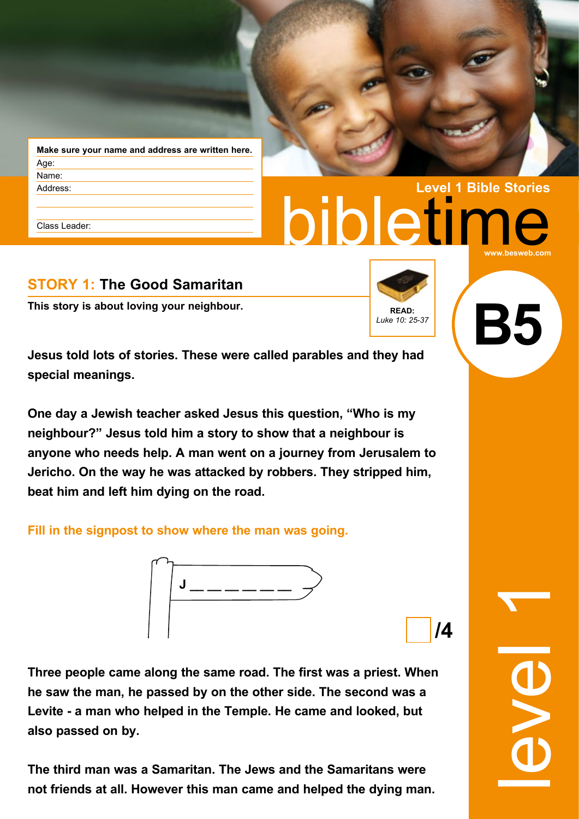| Make sure your name and address are written here. |  |  |  |
|---------------------------------------------------|--|--|--|
| Age:                                              |  |  |  |
| Name:                                             |  |  |  |
| Address:                                          |  |  |  |
|                                                   |  |  |  |

Class Leader:

# bibletime **Level 1 Bible Stories www.besweb.com**

# **STORY 1: The Good Samaritan**

**This story is about loving your neighbour. READ: READ: READ:** 



**Jesus told lots of stories. These were called parables and they had special meanings.**

**One day a Jewish teacher asked Jesus this question, "Who is my neighbour?" Jesus told him a story to show that a neighbour is anyone who needs help. A man went on a journey from Jerusalem to Jericho. On the way he was attacked by robbers. They stripped him, beat him and left him dying on the road.**

**Fill in the signpost to show where the man was going.**



**/4**

**Three people came along the same road. The first was a priest. When he saw the man, he passed by on the other side. The second was a Levite - a man who helped in the Temple. He came and looked, but also passed on by.**

**The third man was a Samaritan. The Jews and the Samaritans were not friends at all. However this man came and helped the dying man.** level 1

**B5**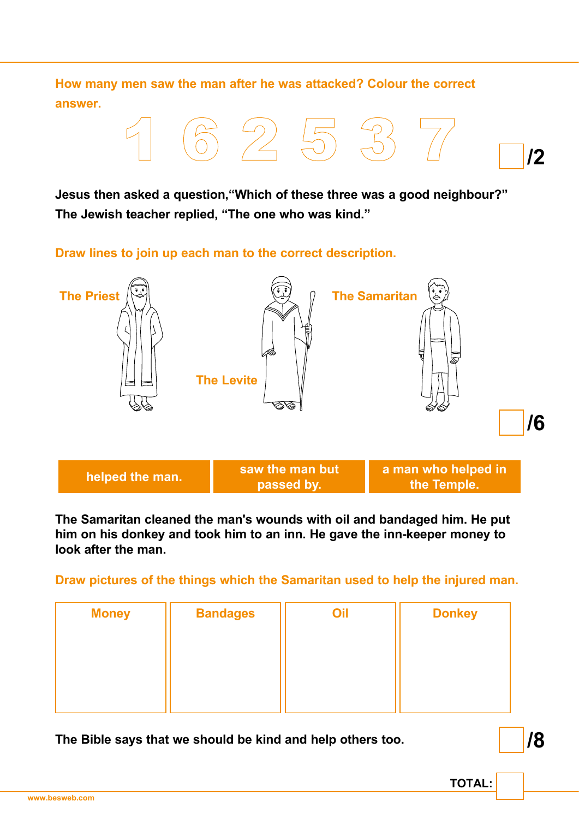**How many men saw the man after he was attacked? Colour the correct answer.**



**Jesus then asked a question,"Which of these three was a good neighbour?" The Jewish teacher replied, "The one who was kind."**

**Draw lines to join up each man to the correct description.**



**The Samaritan cleaned the man's wounds with oil and bandaged him. He put him on his donkey and took him to an inn. He gave the inn-keeper money to look after the man.**

**Draw pictures of the things which the Samaritan used to help the injured man.**

| <b>Money</b> | <b>Bandages</b> | Oil | <b>Donkey</b> |
|--------------|-----------------|-----|---------------|
|              |                 |     |               |
|              |                 |     |               |
|              |                 |     |               |
|              |                 |     |               |

**The Bible says that we should be kind and help others too.**

**/8**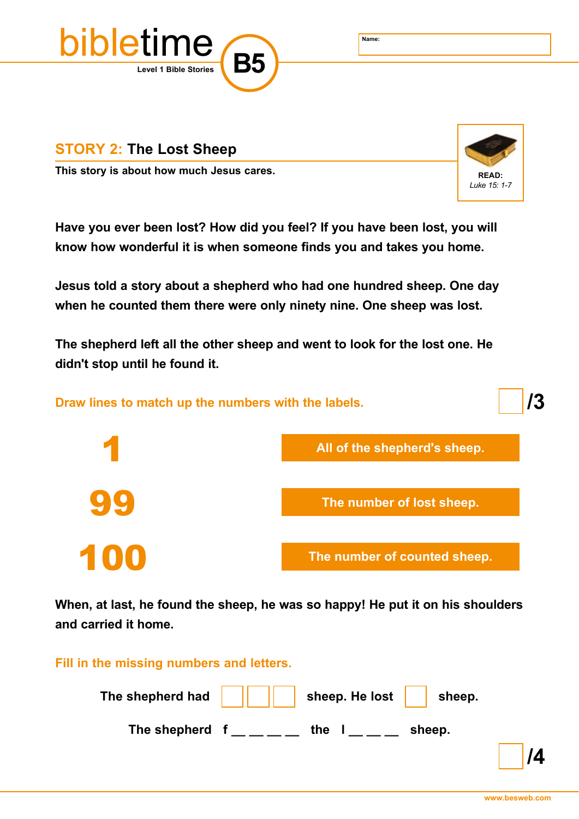



This story is about how much Jesus cares. **EXAD:** READ:



**Have you ever been lost? How did you feel? If you have been lost, you will know how wonderful it is when someone finds you and takes you home.**

**Jesus told a story about a shepherd who had one hundred sheep. One day when he counted them there were only ninety nine. One sheep was lost.** 

**The shepherd left all the other sheep and went to look for the lost one. He didn't stop until he found it.**



**When, at last, he found the sheep, he was so happy! He put it on his shoulders and carried it home.**

**Fill in the missing numbers and letters.**

| The shepherd had $\vert$ | sheep. He lost | sheep. |  |
|--------------------------|----------------|--------|--|
| The shepherd             | the            | sheep. |  |
|                          |                |        |  |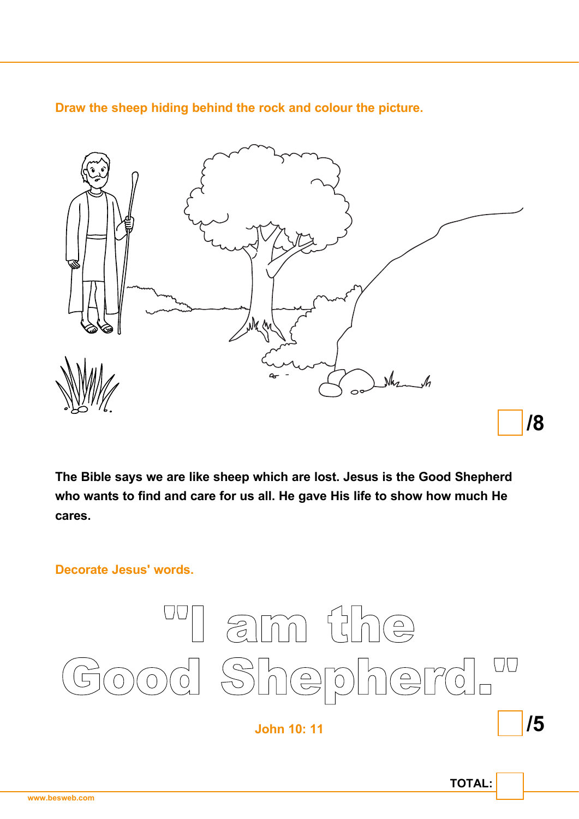**Draw the sheep hiding behind the rock and colour the picture.**



**The Bible says we are like sheep which are lost. Jesus is the Good Shepherd who wants to find and care for us all. He gave His life to show how much He cares.**

**Decorate Jesus' words.**



**John 10: 11**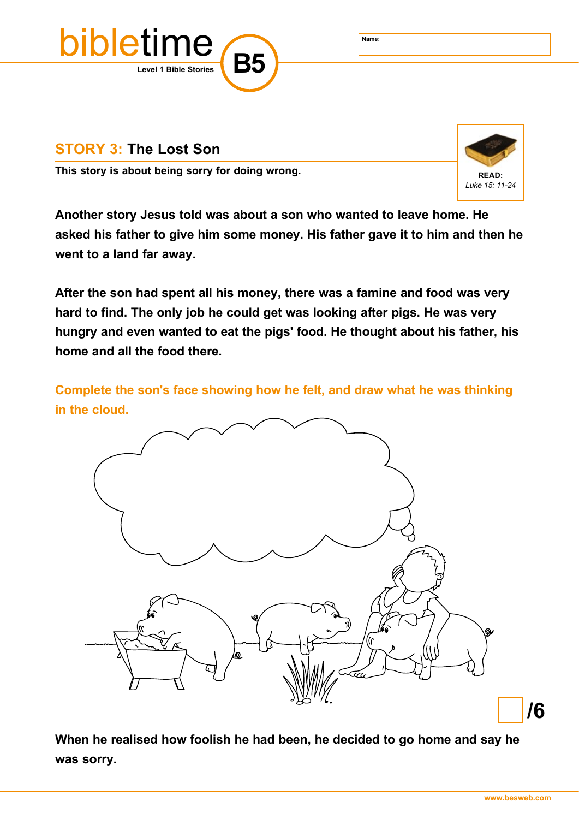

## **STORY 3: The Lost Son**

This story is about being sorry for doing wrong. **This story is about being sorry for doing wrong.** 



**Another story Jesus told was about a son who wanted to leave home. He asked his father to give him some money. His father gave it to him and then he went to a land far away.**

**After the son had spent all his money, there was a famine and food was very hard to find. The only job he could get was looking after pigs. He was very hungry and even wanted to eat the pigs' food. He thought about his father, his home and all the food there.**

**Complete the son's face showing how he felt, and draw what he was thinking in the cloud.**



**When he realised how foolish he had been, he decided to go home and say he was sorry.**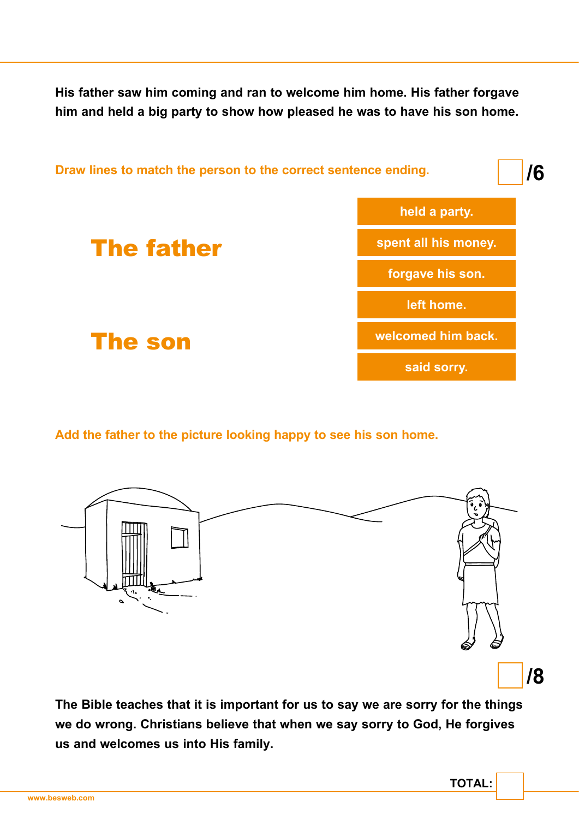**His father saw him coming and ran to welcome him home. His father forgave him and held a big party to show how pleased he was to have his son home.**



**Add the father to the picture looking happy to see his son home.**



**The Bible teaches that it is important for us to say we are sorry for the things we do wrong. Christians believe that when we say sorry to God, He forgives us and welcomes us into His family.**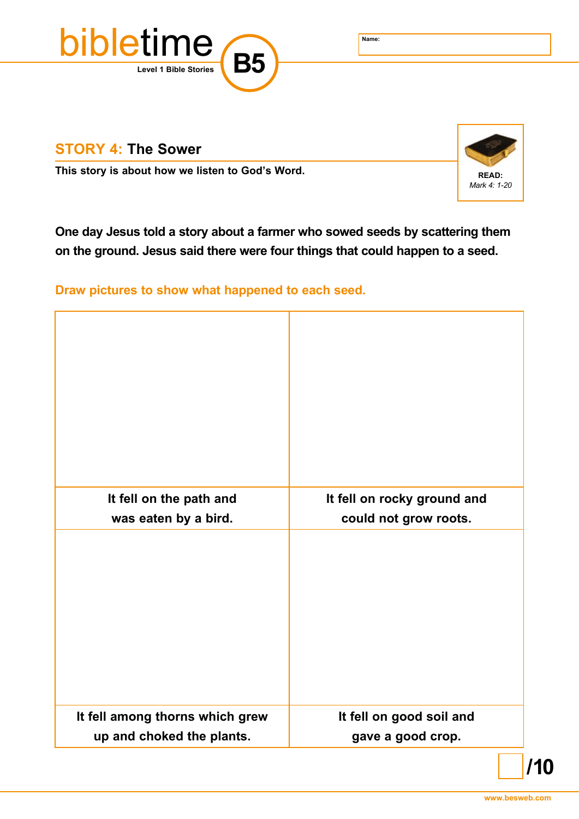

### **STORY 4: The Sower**

**This story is about how we listen to God's Word. <br>READ: READ:** 



**One day Jesus told a story about a farmer who sowed seeds by scattering them on the ground. Jesus said there were four things that could happen to a seed.**

**Draw pictures to show what happened to each seed.**

| It fell on the path and         | It fell on rocky ground and |
|---------------------------------|-----------------------------|
| was eaten by a bird.            | could not grow roots.       |
|                                 |                             |
| It fell among thorns which grew | It fell on good soil and    |
| up and choked the plants.       | gave a good crop.           |

**/10**